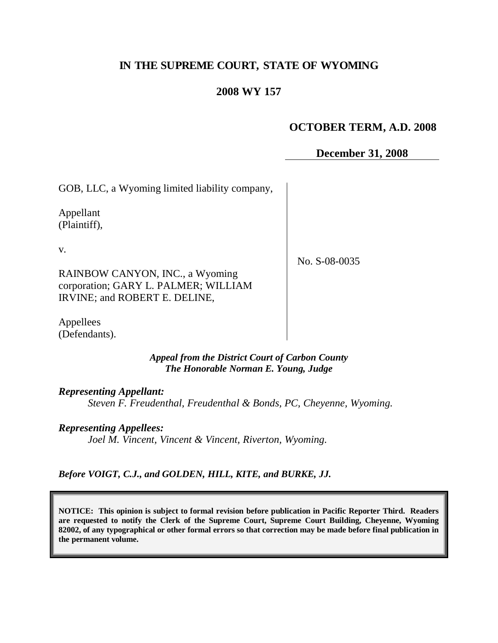# **IN THE SUPREME COURT, STATE OF WYOMING**

## **2008 WY 157**

### **OCTOBER TERM, A.D. 2008**

**December 31, 2008**

GOB, LLC, a Wyoming limited liability company,

Appellant (Plaintiff),

v.

No. S-08-0035

RAINBOW CANYON, INC., a Wyoming corporation; GARY L. PALMER; WILLIAM IRVINE; and ROBERT E. DELINE,

Appellees (Defendants).

> *Appeal from the District Court of Carbon County The Honorable Norman E. Young, Judge*

*Representing Appellant:*

*Steven F. Freudenthal, Freudenthal & Bonds, PC, Cheyenne, Wyoming.*

*Representing Appellees:*

*Joel M. Vincent, Vincent & Vincent, Riverton, Wyoming.*

*Before VOIGT, C.J., and GOLDEN, HILL, KITE, and BURKE, JJ.*

**NOTICE: This opinion is subject to formal revision before publication in Pacific Reporter Third. Readers are requested to notify the Clerk of the Supreme Court, Supreme Court Building, Cheyenne, Wyoming 82002, of any typographical or other formal errors so that correction may be made before final publication in the permanent volume.**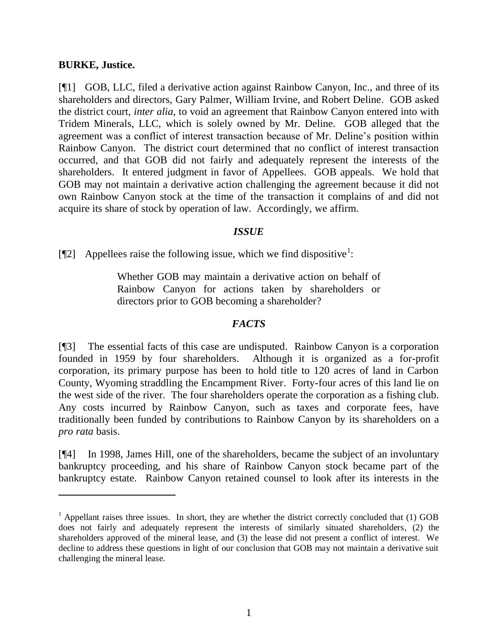#### **BURKE, Justice.**

[¶1] GOB, LLC, filed a derivative action against Rainbow Canyon, Inc., and three of its shareholders and directors, Gary Palmer, William Irvine, and Robert Deline. GOB asked the district court, *inter alia*, to void an agreement that Rainbow Canyon entered into with Tridem Minerals, LLC, which is solely owned by Mr. Deline. GOB alleged that the agreement was a conflict of interest transaction because of Mr. Deline"s position within Rainbow Canyon. The district court determined that no conflict of interest transaction occurred, and that GOB did not fairly and adequately represent the interests of the shareholders. It entered judgment in favor of Appellees. GOB appeals. We hold that GOB may not maintain a derivative action challenging the agreement because it did not own Rainbow Canyon stock at the time of the transaction it complains of and did not acquire its share of stock by operation of law. Accordingly, we affirm.

#### *ISSUE*

[ $\llbracket 2 \rrbracket$  Appellees raise the following issue, which we find dispositive<sup>1</sup>:

Whether GOB may maintain a derivative action on behalf of Rainbow Canyon for actions taken by shareholders or directors prior to GOB becoming a shareholder?

### *FACTS*

[¶3] The essential facts of this case are undisputed. Rainbow Canyon is a corporation founded in 1959 by four shareholders. Although it is organized as a for-profit corporation, its primary purpose has been to hold title to 120 acres of land in Carbon County, Wyoming straddling the Encampment River. Forty-four acres of this land lie on the west side of the river. The four shareholders operate the corporation as a fishing club. Any costs incurred by Rainbow Canyon, such as taxes and corporate fees, have traditionally been funded by contributions to Rainbow Canyon by its shareholders on a *pro rata* basis.

[¶4] In 1998, James Hill, one of the shareholders, became the subject of an involuntary bankruptcy proceeding, and his share of Rainbow Canyon stock became part of the bankruptcy estate. Rainbow Canyon retained counsel to look after its interests in the

 $<sup>1</sup>$  Appellant raises three issues. In short, they are whether the district correctly concluded that (1) GOB</sup> does not fairly and adequately represent the interests of similarly situated shareholders, (2) the shareholders approved of the mineral lease, and (3) the lease did not present a conflict of interest. We decline to address these questions in light of our conclusion that GOB may not maintain a derivative suit challenging the mineral lease.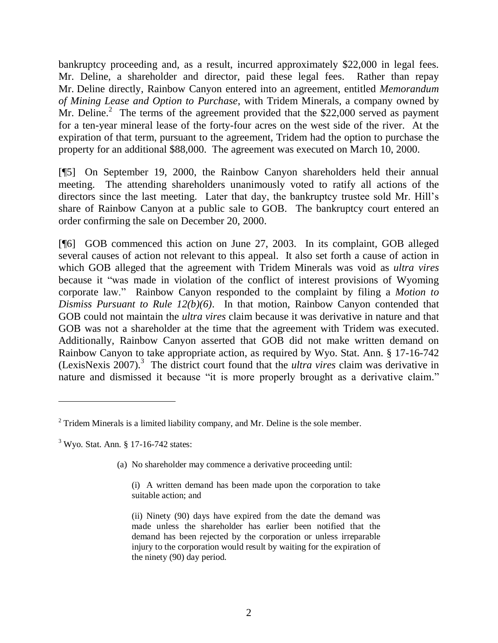bankruptcy proceeding and, as a result, incurred approximately \$22,000 in legal fees. Mr. Deline, a shareholder and director, paid these legal fees. Rather than repay Mr. Deline directly, Rainbow Canyon entered into an agreement, entitled *Memorandum of Mining Lease and Option to Purchase*, with Tridem Minerals, a company owned by Mr. Deline.<sup>2</sup> The terms of the agreement provided that the \$22,000 served as payment for a ten-year mineral lease of the forty-four acres on the west side of the river. At the expiration of that term, pursuant to the agreement, Tridem had the option to purchase the property for an additional \$88,000. The agreement was executed on March 10, 2000.

[¶5] On September 19, 2000, the Rainbow Canyon shareholders held their annual meeting. The attending shareholders unanimously voted to ratify all actions of the directors since the last meeting. Later that day, the bankruptcy trustee sold Mr. Hill's share of Rainbow Canyon at a public sale to GOB. The bankruptcy court entered an order confirming the sale on December 20, 2000.

[¶6] GOB commenced this action on June 27, 2003. In its complaint, GOB alleged several causes of action not relevant to this appeal. It also set forth a cause of action in which GOB alleged that the agreement with Tridem Minerals was void as *ultra vires* because it "was made in violation of the conflict of interest provisions of Wyoming corporate law." Rainbow Canyon responded to the complaint by filing a *Motion to Dismiss Pursuant to Rule 12(b)(6)*. In that motion, Rainbow Canyon contended that GOB could not maintain the *ultra vires* claim because it was derivative in nature and that GOB was not a shareholder at the time that the agreement with Tridem was executed. Additionally, Rainbow Canyon asserted that GOB did not make written demand on Rainbow Canyon to take appropriate action, as required by Wyo. Stat. Ann. § 17-16-742 (LexisNexis 2007). 3 The district court found that the *ultra vires* claim was derivative in nature and dismissed it because "it is more properly brought as a derivative claim."

(a) No shareholder may commence a derivative proceeding until:

 $2$  Tridem Minerals is a limited liability company, and Mr. Deline is the sole member.

 $3$  Wyo. Stat. Ann. § 17-16-742 states:

<sup>(</sup>i) A written demand has been made upon the corporation to take suitable action; and

<sup>(</sup>ii) Ninety (90) days have expired from the date the demand was made unless the shareholder has earlier been notified that the demand has been rejected by the corporation or unless irreparable injury to the corporation would result by waiting for the expiration of the ninety (90) day period.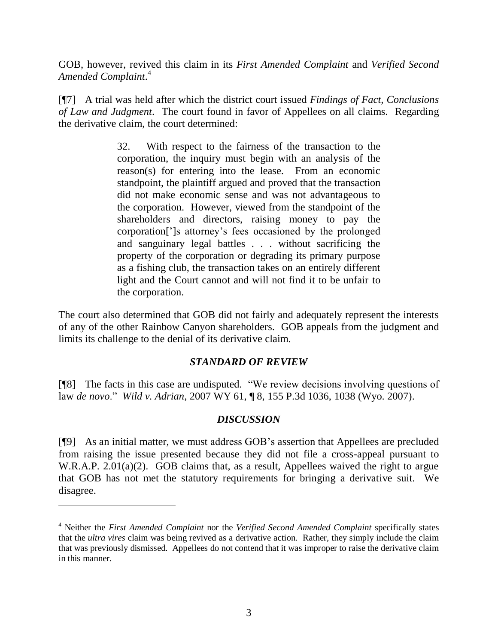GOB, however, revived this claim in its *First Amended Complaint* and *Verified Second Amended Complaint*. 4

[¶7] A trial was held after which the district court issued *Findings of Fact, Conclusions of Law and Judgment*. The court found in favor of Appellees on all claims. Regarding the derivative claim, the court determined:

> 32. With respect to the fairness of the transaction to the corporation, the inquiry must begin with an analysis of the reason(s) for entering into the lease. From an economic standpoint, the plaintiff argued and proved that the transaction did not make economic sense and was not advantageous to the corporation. However, viewed from the standpoint of the shareholders and directors, raising money to pay the corporation["]s attorney"s fees occasioned by the prolonged and sanguinary legal battles . . . without sacrificing the property of the corporation or degrading its primary purpose as a fishing club, the transaction takes on an entirely different light and the Court cannot and will not find it to be unfair to the corporation.

The court also determined that GOB did not fairly and adequately represent the interests of any of the other Rainbow Canyon shareholders. GOB appeals from the judgment and limits its challenge to the denial of its derivative claim.

### *STANDARD OF REVIEW*

[¶8] The facts in this case are undisputed. "We review decisions involving questions of law *de novo*." *Wild v. Adrian*, 2007 WY 61, ¶ 8, 155 P.3d 1036, 1038 (Wyo. 2007).

### *DISCUSSION*

[¶9] As an initial matter, we must address GOB"s assertion that Appellees are precluded from raising the issue presented because they did not file a cross-appeal pursuant to W.R.A.P. 2.01(a)(2). GOB claims that, as a result, Appellees waived the right to argue that GOB has not met the statutory requirements for bringing a derivative suit. We disagree.

 $\overline{a}$ 

<sup>4</sup> Neither the *First Amended Complaint* nor the *Verified Second Amended Complaint* specifically states that the *ultra vires* claim was being revived as a derivative action. Rather, they simply include the claim that was previously dismissed. Appellees do not contend that it was improper to raise the derivative claim in this manner.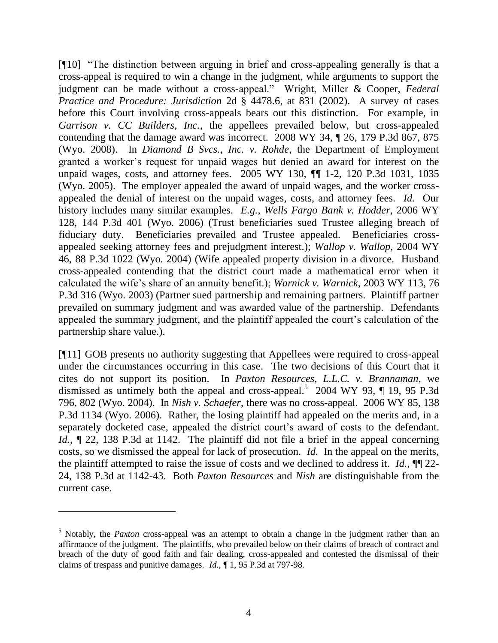[¶10] "The distinction between arguing in brief and cross-appealing generally is that a cross-appeal is required to win a change in the judgment, while arguments to support the judgment can be made without a cross-appeal." Wright, Miller & Cooper, *Federal Practice and Procedure: Jurisdiction* 2d § 4478.6, at 831 (2002). A survey of cases before this Court involving cross-appeals bears out this distinction. For example, in *Garrison v. CC Builders, Inc.*, the appellees prevailed below, but cross-appealed contending that the damage award was incorrect. 2008 WY 34, ¶ 26, 179 P.3d 867, 875 (Wyo. 2008). In *Diamond B Svcs., Inc. v. Rohde*, the Department of Employment granted a worker"s request for unpaid wages but denied an award for interest on the unpaid wages, costs, and attorney fees. 2005 WY 130, ¶¶ 1-2, 120 P.3d 1031, 1035 (Wyo. 2005). The employer appealed the award of unpaid wages, and the worker crossappealed the denial of interest on the unpaid wages, costs, and attorney fees. *Id.* Our history includes many similar examples. *E.g.*, *Wells Fargo Bank v. Hodder*, 2006 WY 128, 144 P.3d 401 (Wyo. 2006) (Trust beneficiaries sued Trustee alleging breach of fiduciary duty. Beneficiaries prevailed and Trustee appealed. Beneficiaries crossappealed seeking attorney fees and prejudgment interest.); *Wallop v. Wallop*, 2004 WY 46, 88 P.3d 1022 (Wyo. 2004) (Wife appealed property division in a divorce. Husband cross-appealed contending that the district court made a mathematical error when it calculated the wife"s share of an annuity benefit.); *Warnick v. Warnick*, 2003 WY 113, 76 P.3d 316 (Wyo. 2003) (Partner sued partnership and remaining partners. Plaintiff partner prevailed on summary judgment and was awarded value of the partnership. Defendants appealed the summary judgment, and the plaintiff appealed the court's calculation of the partnership share value.).

[¶11] GOB presents no authority suggesting that Appellees were required to cross-appeal under the circumstances occurring in this case. The two decisions of this Court that it cites do not support its position. In *Paxton Resources, L.L.C. v. Brannaman*, we dismissed as untimely both the appeal and cross-appeal.<sup>5</sup> 2004 WY 93,  $\P$  19, 95 P.3d 796, 802 (Wyo. 2004). In *Nish v. Schaefer*, there was no cross-appeal. 2006 WY 85, 138 P.3d 1134 (Wyo. 2006). Rather, the losing plaintiff had appealed on the merits and, in a separately docketed case, appealed the district court's award of costs to the defendant. *Id.*,  $\sim$  22, 138 P.3d at 1142. The plaintiff did not file a brief in the appeal concerning costs, so we dismissed the appeal for lack of prosecution. *Id.* In the appeal on the merits, the plaintiff attempted to raise the issue of costs and we declined to address it. *Id.*, ¶¶ 22- 24, 138 P.3d at 1142-43. Both *Paxton Resources* and *Nish* are distinguishable from the current case.

 $\overline{a}$ 

<sup>&</sup>lt;sup>5</sup> Notably, the *Paxton* cross-appeal was an attempt to obtain a change in the judgment rather than an affirmance of the judgment. The plaintiffs, who prevailed below on their claims of breach of contract and breach of the duty of good faith and fair dealing, cross-appealed and contested the dismissal of their claims of trespass and punitive damages. *Id.*, ¶ 1, 95 P.3d at 797-98.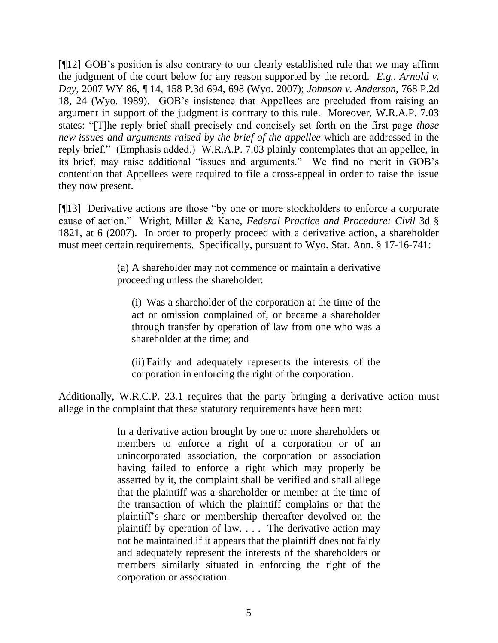[¶12] GOB"s position is also contrary to our clearly established rule that we may affirm the judgment of the court below for any reason supported by the record. *E.g.*, *Arnold v. Day*, 2007 WY 86, ¶ 14, 158 P.3d 694, 698 (Wyo. 2007); *Johnson v. Anderson*, 768 P.2d 18, 24 (Wyo. 1989). GOB"s insistence that Appellees are precluded from raising an argument in support of the judgment is contrary to this rule. Moreover, W.R.A.P. 7.03 states: "[T]he reply brief shall precisely and concisely set forth on the first page *those new issues and arguments raised by the brief of the appellee* which are addressed in the reply brief." (Emphasis added.) W.R.A.P. 7.03 plainly contemplates that an appellee, in its brief, may raise additional "issues and arguments." We find no merit in GOB"s contention that Appellees were required to file a cross-appeal in order to raise the issue they now present.

[¶13] Derivative actions are those "by one or more stockholders to enforce a corporate cause of action." Wright, Miller & Kane, *Federal Practice and Procedure: Civil* 3d § 1821, at 6 (2007). In order to properly proceed with a derivative action, a shareholder must meet certain requirements. Specifically, pursuant to Wyo. Stat. Ann. § 17-16-741:

> (a) A shareholder may not commence or maintain a derivative proceeding unless the shareholder:

(i) Was a shareholder of the corporation at the time of the act or omission complained of, or became a shareholder through transfer by operation of law from one who was a shareholder at the time; and

(ii) Fairly and adequately represents the interests of the corporation in enforcing the right of the corporation.

Additionally, W.R.C.P. 23.1 requires that the party bringing a derivative action must allege in the complaint that these statutory requirements have been met:

> In a derivative action brought by one or more shareholders or members to enforce a right of a corporation or of an unincorporated association, the corporation or association having failed to enforce a right which may properly be asserted by it, the complaint shall be verified and shall allege that the plaintiff was a shareholder or member at the time of the transaction of which the plaintiff complains or that the plaintiff"s share or membership thereafter devolved on the plaintiff by operation of law. . . . The derivative action may not be maintained if it appears that the plaintiff does not fairly and adequately represent the interests of the shareholders or members similarly situated in enforcing the right of the corporation or association.